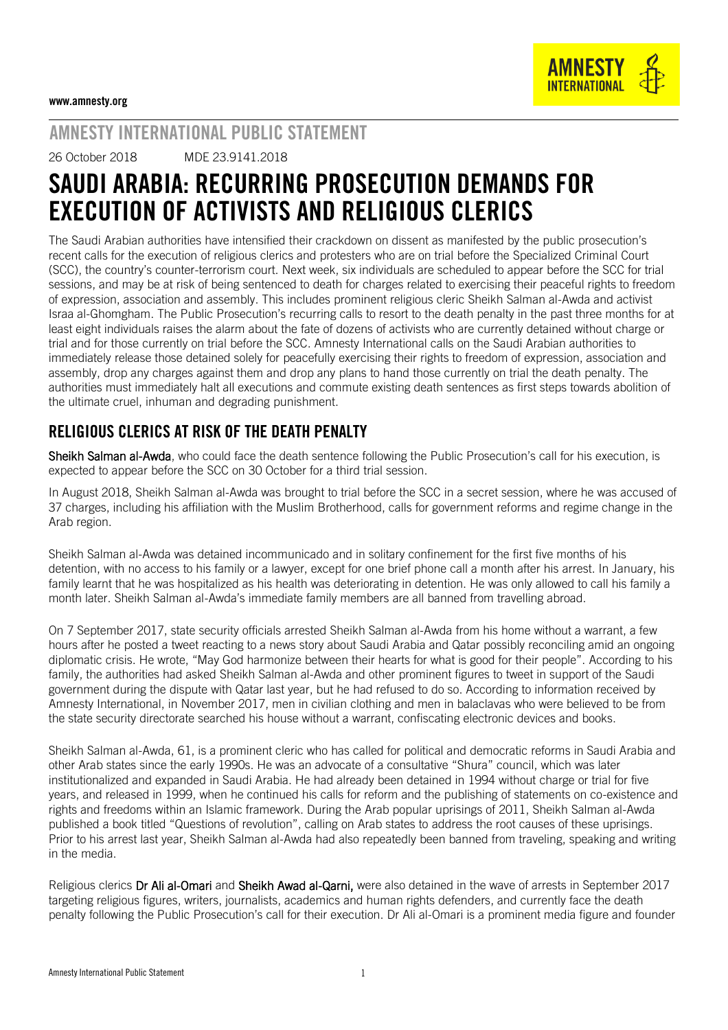

#### www.amnesty.org

## AMNESTY INTERNATIONAL PUBLIC STATEMENT

26 October 2018 MDE 23.9141.2018

# SAUDI ARABIA: RECURRING PROSECUTION DEMANDS FOR EXECUTION OF ACTIVISTS AND RELIGIOUS CLERICS

The Saudi Arabian authorities have intensified their crackdown on dissent as manifested by the public prosecution's recent calls for the execution of religious clerics and protesters who are on trial before the Specialized Criminal Court (SCC), the country's counter-terrorism court. Next week, six individuals are scheduled to appear before the SCC for trial sessions, and may be at risk of being sentenced to death for charges related to exercising their peaceful rights to freedom of expression, association and assembly. This includes prominent religious cleric Sheikh Salman al-Awda and activist Israa al-Ghomgham. The Public Prosecution's recurring calls to resort to the death penalty in the past three months for at least eight individuals raises the alarm about the fate of dozens of activists who are currently detained without charge or trial and for those currently on trial before the SCC. Amnesty International calls on the Saudi Arabian authorities to immediately release those detained solely for peacefully exercising their rights to freedom of expression, association and assembly, drop any charges against them and drop any plans to hand those currently on trial the death penalty. The authorities must immediately halt all executions and commute existing death sentences as first steps towards abolition of the ultimate cruel, inhuman and degrading punishment.

#### RELIGIOUS CLERICS AT RISK OF THE DEATH PENALTY

Sheikh Salman al-Awda, who could face the death sentence following the Public Prosecution's call for his execution, is expected to appear before the SCC on 30 October for a third trial session.

In August 2018, Sheikh Salman al-Awda was brought to trial before the SCC in a secret session, where he was accused of 37 charges, including his affiliation with the Muslim Brotherhood, calls for government reforms and regime change in the Arab region.

Sheikh Salman al-Awda was detained incommunicado and in solitary confinement for the first five months of his detention, with no access to his family or a lawyer, except for one brief phone call a month after his arrest. [In January,](https://www.amnesty.org/en/latest/news/2018/01/saudi-arabia-cleric-hospitalized-after-five-months-in-solitary-confinement-must-be-released/) his family learnt that he was hospitalized as his health was deteriorating in detention. He was only allowed to call his family a month later. Sheikh Salman al-Awda's immediate family members are all banned from travelling abroad.

On 7 September 2017, state security officials arrested Sheikh Salman al-Awda from his home without a warrant, a few hours after he posted a tweet reacting to a news story about Saudi Arabia and Qatar possibly reconciling amid an ongoing diplomatic crisis. He wrote, "May God harmonize between their hearts for what is good for their people". According to his family, the authorities had asked Sheikh Salman al-Awda and other prominent figures to tweet in support of the Saudi government during the dispute with Qatar last year, but he had refused to do so. According to information received by Amnesty International, in November 2017, men in civilian clothing and men in balaclavas who were believed to be from the state security directorate searched his house without a warrant, confiscating electronic devices and books.

Sheikh Salman al-Awda, 61, is a prominent cleric who has called for political and democratic reforms in Saudi Arabia and other Arab states since the early 1990s. He was an advocate of a consultative "Shura" council, which was later institutionalized and expanded in Saudi Arabia. He had already been detained in 1994 without charge or trial for five years, and released in 1999, when he continued his calls for reform and the publishing of statements on co-existence and rights and freedoms within an Islamic framework. During the Arab popular uprisings of 2011, Sheikh Salman al-Awda published a book titled "Questions of revolution", calling on Arab states to address the root causes of these uprisings. Prior to his arrest last year, Sheikh Salman al-Awda had also repeatedly been banned from traveling, speaking and writing in the media.

Religious clerics Dr Ali al-Omari and Sheikh Awad al-Qarni, were also detained in the wave of arrests [in September 2017](https://www.amnesty.org/en/latest/news/2017/09/saudi-arabia-wave-of-arrests-targets-last-vestiges-of-freedom-of-expression/) targeting religious figures, writers, journalists, academics and human rights defenders, and currently face the death penalty following the Public Prosecution's call for their execution. Dr Ali al-Omari is a prominent media figure and founder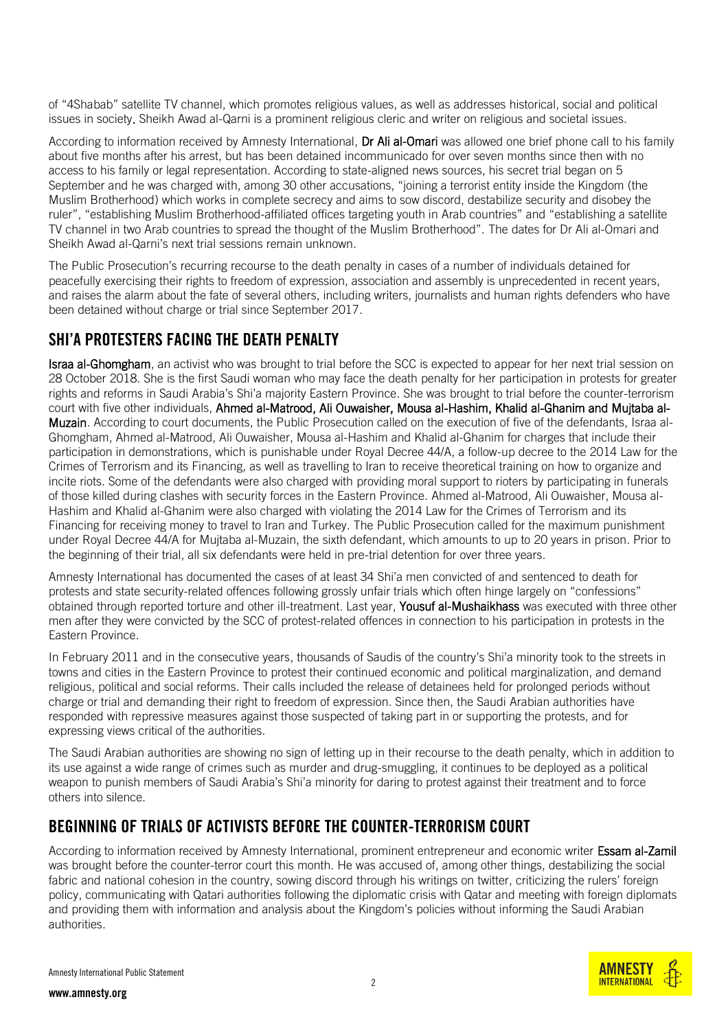of "4Shabab" satellite TV channel, which promotes religious values, as well as addresses historical, social and political issues in society. Sheikh Awad al-Qarni is a prominent religious cleric and writer on religious and societal issues.

According to information received by Amnesty International, Dr Ali al-Omari was allowed one brief phone call to his family about five months after his arrest, but has been detained incommunicado for over seven months since then with no access to his family or legal representation. According to state-aligned news sources, his secret trial began on 5 September and he was charged with, among 30 other accusations, "joining a terrorist entity inside the Kingdom (the Muslim Brotherhood) which works in complete secrecy and aims to sow discord, destabilize security and disobey the ruler", "establishing Muslim Brotherhood-affiliated offices targeting youth in Arab countries" and "establishing a satellite TV channel in two Arab countries to spread the thought of the Muslim Brotherhood". The dates for Dr Ali al-Omari and Sheikh Awad al-Qarni's next trial sessions remain unknown.

The Public Prosecution's recurring recourse to the death penalty in cases of a number of individuals detained for peacefully exercising their rights to freedom of expression, association and assembly is unprecedented in recent years, and raises the alarm about the fate of several others, including writers, journalists and human rights defenders who have been detained without charge or trial since September 2017.

### SHI'A PROTESTERS FACING THE DEATH PENALTY

**Israa al-Ghomgham**, an activist who was brought to trial before the SCC is expected to appear for her next trial session on 28 October 2018. She is the first Saudi woman who may face the death penalty for her participation in protests for greater rights and reforms in Saudi Arabia's Shi'a majority Eastern Province. She was brought to trial before the counter-terrorism court with five other individuals, Ahmed al-Matrood, Ali Ouwaisher, Mousa al-Hashim, Khalid al-Ghanim and Mujtaba al-Muzain. According to court documents, the Public Prosecution called on the execution of five of the defendants, Israa al-Ghomgham, Ahmed al-Matrood, Ali Ouwaisher, Mousa al-Hashim and Khalid al-Ghanim for charges that include their participation in demonstrations, which is punishable under Royal Decree 44/A, a follow-up decree to the 2014 Law for the Crimes of Terrorism and its Financing, as well as travelling to Iran to receive theoretical training on how to organize and incite riots. Some of the defendants were also charged with providing moral support to rioters by participating in funerals of those killed during clashes with security forces in the Eastern Province. Ahmed al-Matrood, Ali Ouwaisher, Mousa al-Hashim and Khalid al-Ghanim were also charged with violating the 2014 Law for the Crimes of Terrorism and its Financing for receiving money to travel to Iran and Turkey. The Public Prosecution called for the maximum punishment under Royal Decree 44/A for Mujtaba al-Muzain, the sixth defendant, which amounts to up to 20 years in prison. Prior to the beginning of their trial, all six defendants were held in pre-trial detention for over three years.

Amnesty International has documented the cases of at least 34 Shi'a men convicted of and sentenced to death for protests and state security-related offences following [grossly unfair trials](https://www.amnesty.org/en/latest/news/2017/07/fourteen-men-at-imminent-risk-of-beheading-as-saudi-arabia-continues-bloody-execution-spree/) which often hinge largely on "confessions" obtained through reported torture and other ill-treatment. Last year, Yousuf al-Mushaikhass was executed with three other men after they were convicted by the SCC of protest-related offences in connection to his participation in protests in the Eastern Province.

In February 2011 and in the consecutive years, thousands of Saudis of the country's Shi'a minority took to the streets in towns and cities in the Eastern Province to protest their continued economic and political marginalization, and demand religious, political and social reforms. Their calls included the release of detainees held for prolonged periods without charge or trial and demanding their right to freedom of expression. Since then, the Saudi Arabian authorities have responded with repressive measures against those suspected of taking part in or supporting the protests, and for expressing views critical of the authorities.

The Saudi Arabian authorities are showing no sign of letting up in their recourse to the death penalty, which in addition to its use against a wide range of crimes such as murder and drug-smuggling, it continues to be deployed as a political weapon to punish members of Saudi Arabia's Shi'a minority for daring to protest against their treatment and to force others into silence.

### BEGINNING OF TRIALS OF ACTIVISTS BEFORE THE COUNTER-TERRORISM COURT

According to information received by Amnesty International, prominent entrepreneur and economic writer Essam al-Zamil was brought before the counter-terror court this month. He was accused of, among other things, destabilizing the social fabric and national cohesion in the country, sowing discord through his writings on twitter, criticizing the rulers' foreign policy, communicating with Qatari authorities following the diplomatic crisis with Qatar and meeting with foreign diplomats and providing them with information and analysis about the Kingdom's policies without informing the Saudi Arabian authorities.